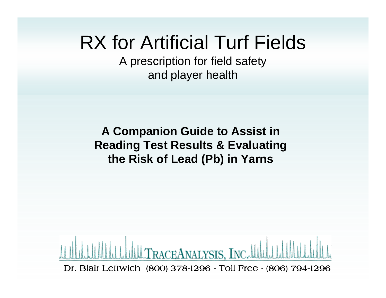### RX for Artificial Turf Fields

A prescription for field safety and player health

**A Companion Guide to Assist in Reading Test Results & Evaluating the Risk of Lead (Pb) in Yarns**

RACEANALYSIS, INC.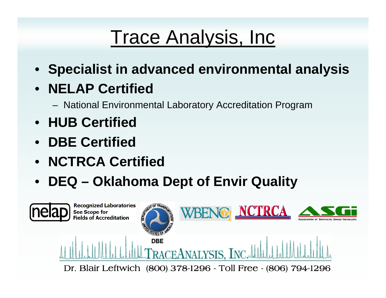# **Trace Analysis, Inc.**

• **Specialist in advanced environmental analysis**

#### • **NELAP Certified**

- National Environmental Laboratory Accreditation Program
- **HUB Certified**
- **DBE Certified**
- **NCTRCA Certified**
- **DEQ – Oklahoma Dept of Envir Quality**

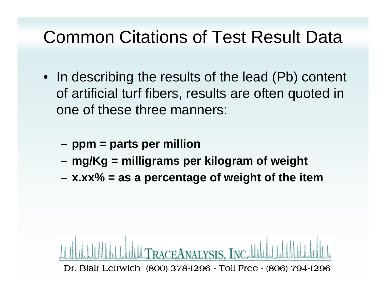#### Common Citations of Test Result Data

- In describing the results of the lead (Pb) content of artificial turf fibers, results are often quoted in one of these three manners:
	- –**ppm = parts per million**
	- –**mg/Kg = milligrams per kilogram of weight**
	- –**x.xx% = as a percentage of weight of the item**

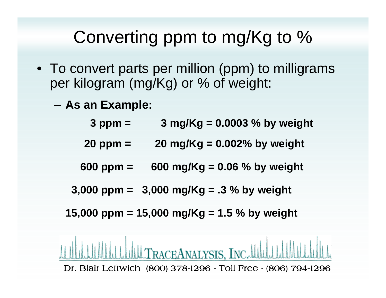#### Converting ppm to mg/Kg to %

- To convert parts per million (ppm) to milligrams per kilogram (mg/Kg) or % of weight:
	- **As an Example:**

| $3$ ppm $=$ | 3 mg/Kg = $0.0003$ % by weight |
|-------------|--------------------------------|
|             |                                |

- **20 ppm = 20 mg/Kg = 0.002% by weight**
- **600 ppm = 600 mg/Kg = 0.06 % by weight**
- **3,000 ppm = 3,000 mg/Kg = .3 % by weight**

**15,000 ppm = 15,000 mg/Kg = 1.5 % by weight**

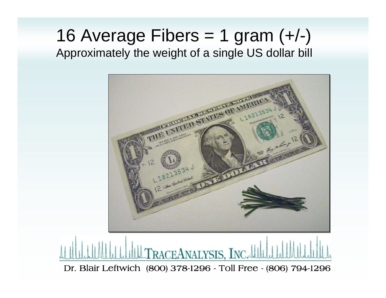#### 16 Average Fibers  $= 1$  gram  $(+/-)$ Approximately the weight of a single US dollar bill

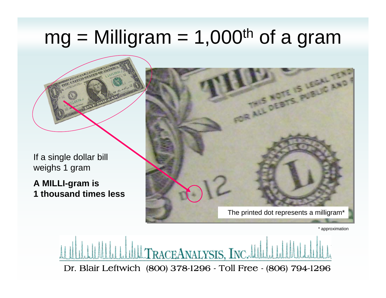# $mg =$  Milligram = 1,000<sup>th</sup> of a gram

If a single dollar bill weighs 1 gram

**A MILLI-gram is 1 thousand times less** The printed dot represents a milligram\*

\* approximation

TRACEANALYSIS, INC.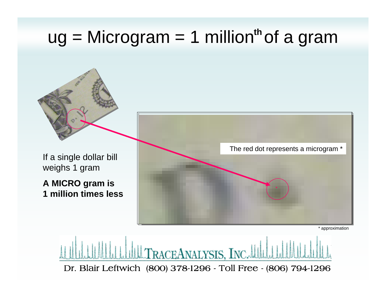#### ug = Microgram = 1 million<sup>th</sup> of a gram

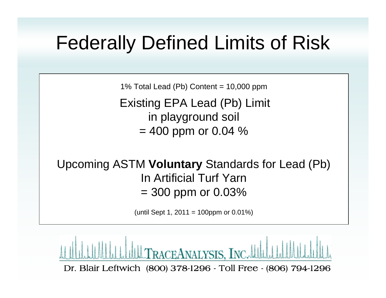### Federally Defined Limits of Risk

1% Total Lead (Pb) Content = 10,000 ppm

Existing EPA Lead (Pb) Limit in playground soil  $= 400$  ppm or 0.04 %

Upcoming ASTM **Voluntary** Standards for Lead (Pb) In Artificial Turf Yarn  $= 300$  ppm or 0.03%

(until Sept 1, 2011 = 100ppm or 0.01%)

RACEANALYSIS, INC.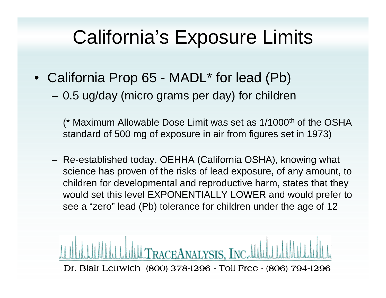### California's Exposure Limits

- California Prop 65 MADL\* for lead (Pb)
	- 0.5 ug/day (micro grams per day) for children

(\* Maximum Allowable Dose Limit was set as 1/1000th of the OSHA standard of 500 mg of exposure in air from figures set in 1973)

 Re-established today, OEHHA (California OSHA), knowing what science has proven of the risks of lead exposure, of any amount, to children for developmental and reproductive harm, states that they would set this level EXPONENTIALLY LOWER and would prefer to see a "zero" lead (Pb) tolerance for children under the age of 12

RACEANALYSIS, INC.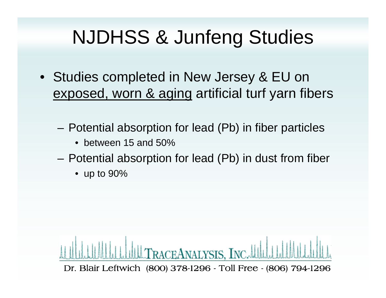# NJDHSS & Junfeng Studies

- Studies completed in New Jersey & EU on exposed, worn & aging artificial turf yarn fibers
	- – Potential absorption for lead (Pb) in fiber particles
		- between 15 and 50%
	- – Potential absorption for lead (Pb) in dust from fiber
		- up to 90%

RACEANALYSIS, INC. Dr. Blair Leftwich (800) 378-1296 - Toll Free - (806) 794-1296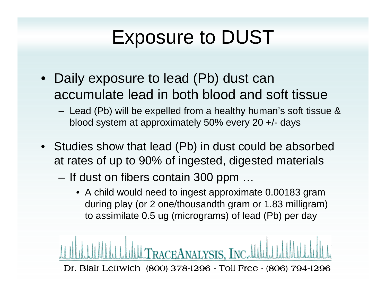# Exposure to DUST

- Daily exposure to lead (Pb) dust can accumulate lead in both blood and soft tissue
	- Lead (Pb) will be expelled from a healthy human's soft tissue & blood system at approximately 50% every 20 +/- days
- Studies show that lead (Pb) in dust could be absorbed at rates of up to 90% of ingested, digested materials
	- If dust on fibers contain 300 ppm …
		- A child would need to ingest approximate 0.00183 gram during play (or 2 one/thousandth gram or 1.83 milligram) to assimilate 0.5 ug (micrograms) of lead (Pb) per day

RACEANALYSIS, INC.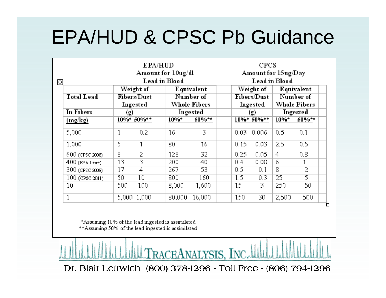## EPA/HUD & CPSC Pb Guidance

| <b>EPA/HUD</b><br>Amount for 10ug/dl<br>Lead in Blood |                                      |                 |                                                       |        | CPCS<br>Amount for 15ug/Day<br>Lead in Blood |                |                                                |          |  |
|-------------------------------------------------------|--------------------------------------|-----------------|-------------------------------------------------------|--------|----------------------------------------------|----------------|------------------------------------------------|----------|--|
| <b>Total Lead</b>                                     | Weight of<br>Fibers/Dust<br>Ingested |                 | <b>Equivalent</b><br>Number of<br><b>Whole Fibers</b> |        | Weight of<br>Fibers/Dust<br>Ingested         |                | <b>Equivalent</b><br>Number of<br>Whole Fibers |          |  |
| In Fibers                                             | (g)                                  |                 | Ingested                                              |        |                                              | (g)            |                                                | Ingested |  |
| (mg/kg)                                               |                                      | $10\%* 50\%**$  | $10%$ *                                               | 50%**  |                                              | $10\%* 50\%**$ | $10\%$ *                                       | 50%**    |  |
| 5,000                                                 |                                      | 0.2             | 16                                                    | 3      | 0.03                                         | 0.006          | 0.5                                            | 0.1      |  |
| 1,000                                                 | 5                                    |                 | 80                                                    | 16     | 0.15                                         | 0.03           | 2.5                                            | 0.5      |  |
| 600 (CPSC 2008)                                       | 8                                    | 2               | 128                                                   | 32.    | 0.25                                         | 0.05           | 4                                              | 0.8      |  |
| $400$ (EPA Limit)                                     | 13                                   | 3               | 200                                                   | 40     | 0.4                                          | 0.08           | 6                                              |          |  |
| 300 (CPSC 2009)                                       | 17                                   | 4               | 267                                                   | 53.    | 0.5                                          | 0.1            | 8                                              | 2        |  |
| 100 (CPSC 2011)                                       | 50                                   | 10 <sup>°</sup> | 800                                                   | 160    | 1.5                                          | 0.3            | 25                                             | 5        |  |
| 10                                                    | 500                                  | 100             | 8,000                                                 | 1,600  | 15                                           | 3              | 250                                            | 50       |  |
| 1                                                     | 5,000                                | 1,000           | 80,000                                                | 16,000 | 150                                          | 30             | 2,500                                          | 500      |  |

\*Assuming 10% of the lead ingested is assimilated \*\* Assuming 50% of the lead ingested is assimilated

Dr. Blair Leftwich (800) 378-1296 - Toll Free - (806) 794-1296

**TRACEANALYSIS, INC.**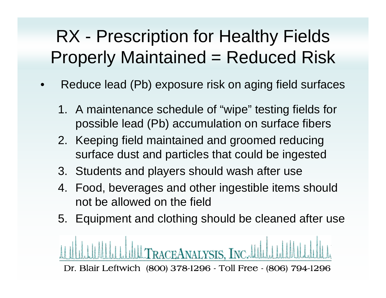#### RX - Prescription for Healthy Fields Properly Maintained = Reduced Risk

- • Reduce lead (Pb) exposure risk on aging field surfaces
	- 1. A maintenance schedule of "wipe" testing fields for possible lead (Pb) accumulation on surface fibers
	- 2. Keeping field maintained and groomed reducing surface dust and particles that could be ingested
	- 3. Students and players should wash after use
	- 4. Food, beverages and other ingestible items should not be allowed on the field
	- 5. Equipment and clothing should be cleaned after use

Dr. Blair Leftwich (800) 378-1296 - Toll Free - (806) 794-1296